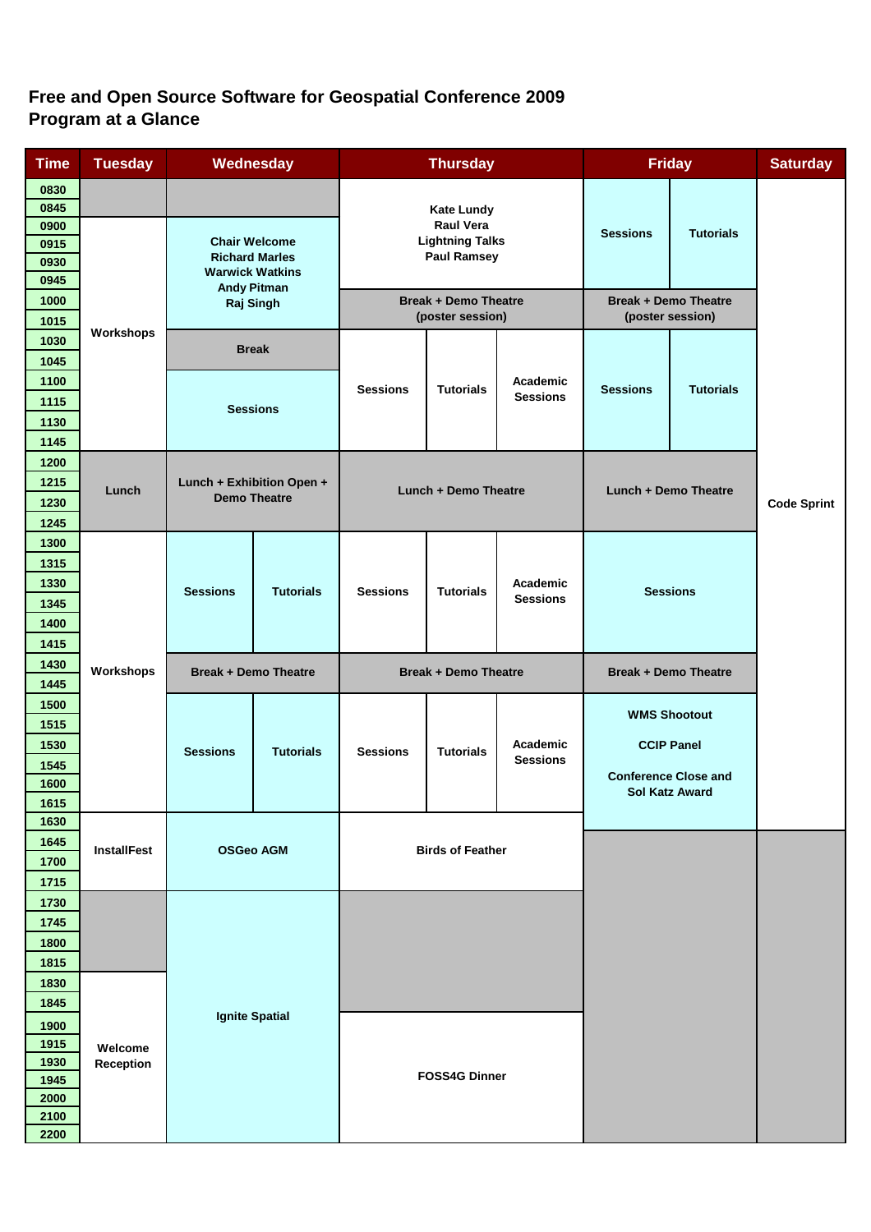#### **Free and Open Source Software for Geospatial Conference 2009 Program at a Glance**

| <b>Time</b>  | <b>Tuesday</b>     |                 | Wednesday                                       | <b>Thursday</b>             |                                                 | <b>Friday</b>                      |                                                 | <b>Saturday</b>             |                    |
|--------------|--------------------|-----------------|-------------------------------------------------|-----------------------------|-------------------------------------------------|------------------------------------|-------------------------------------------------|-----------------------------|--------------------|
| 0830         |                    |                 |                                                 |                             |                                                 |                                    |                                                 |                             |                    |
| 0845<br>0900 |                    |                 |                                                 |                             | <b>Kate Lundy</b><br><b>Raul Vera</b>           |                                    |                                                 |                             |                    |
| 0915         |                    |                 | <b>Chair Welcome</b>                            |                             | <b>Lightning Talks</b>                          |                                    | <b>Sessions</b>                                 | <b>Tutorials</b>            |                    |
| 0930         |                    |                 | <b>Richard Marles</b><br><b>Warwick Watkins</b> | <b>Paul Ramsey</b>          |                                                 |                                    |                                                 |                             |                    |
| 0945         |                    |                 | <b>Andy Pitman</b>                              |                             |                                                 |                                    |                                                 |                             |                    |
| 1000         |                    |                 | Raj Singh                                       |                             | <b>Break + Demo Theatre</b><br>(poster session) |                                    | <b>Break + Demo Theatre</b><br>(poster session) |                             |                    |
| 1015         | Workshops          |                 |                                                 |                             |                                                 |                                    |                                                 |                             |                    |
| 1030         |                    |                 | <b>Break</b>                                    |                             |                                                 |                                    |                                                 |                             |                    |
| 1045<br>1100 |                    |                 |                                                 |                             |                                                 | Academic                           |                                                 |                             |                    |
| 1115         |                    |                 |                                                 | <b>Sessions</b>             | <b>Tutorials</b>                                | <b>Sessions</b>                    | <b>Sessions</b>                                 | <b>Tutorials</b>            |                    |
| 1130         |                    |                 | <b>Sessions</b>                                 |                             |                                                 |                                    |                                                 |                             |                    |
| 1145         |                    |                 |                                                 |                             |                                                 |                                    |                                                 |                             |                    |
| 1200         |                    |                 |                                                 |                             |                                                 |                                    |                                                 |                             |                    |
| 1215         | Lunch              |                 | Lunch + Exhibition Open +                       |                             |                                                 |                                    |                                                 |                             |                    |
| 1230         |                    |                 | <b>Demo Theatre</b>                             | Lunch + Demo Theatre        |                                                 |                                    | Lunch + Demo Theatre                            |                             | <b>Code Sprint</b> |
| 1245         |                    |                 |                                                 |                             |                                                 |                                    |                                                 |                             |                    |
| 1300         |                    |                 |                                                 |                             |                                                 |                                    |                                                 |                             |                    |
| 1315         |                    |                 |                                                 |                             |                                                 |                                    |                                                 |                             |                    |
| 1330         |                    | <b>Sessions</b> | <b>Tutorials</b>                                | <b>Sessions</b>             | <b>Tutorials</b>                                | <b>Academic</b><br><b>Sessions</b> |                                                 | <b>Sessions</b>             |                    |
| 1345         |                    |                 |                                                 |                             |                                                 |                                    |                                                 |                             |                    |
| 1400<br>1415 |                    |                 |                                                 |                             |                                                 |                                    |                                                 |                             |                    |
| 1430         |                    |                 |                                                 |                             |                                                 |                                    |                                                 |                             |                    |
| 1445         | Workshops          |                 | <b>Break + Demo Theatre</b>                     | <b>Break + Demo Theatre</b> |                                                 |                                    |                                                 | <b>Break + Demo Theatre</b> |                    |
| 1500         |                    |                 |                                                 |                             |                                                 |                                    |                                                 |                             |                    |
| 1515         |                    |                 |                                                 |                             |                                                 |                                    |                                                 | <b>WMS Shootout</b>         |                    |
| 1530         |                    | <b>Sessions</b> | <b>Tutorials</b>                                | <b>Sessions</b>             | <b>Tutorials</b>                                | Academic                           |                                                 | <b>CCIP Panel</b>           |                    |
| 1545         |                    |                 |                                                 |                             |                                                 | <b>Sessions</b>                    | <b>Conference Close and</b>                     |                             |                    |
| 1600         |                    |                 |                                                 |                             |                                                 |                                    |                                                 | <b>Sol Katz Award</b>       |                    |
| 1615<br>1630 |                    |                 |                                                 |                             |                                                 |                                    |                                                 |                             |                    |
| 1645         |                    |                 |                                                 |                             |                                                 |                                    |                                                 |                             |                    |
| 1700         | <b>InstallFest</b> |                 | <b>OSGeo AGM</b>                                |                             | <b>Birds of Feather</b>                         |                                    |                                                 |                             |                    |
| 1715         |                    |                 |                                                 |                             |                                                 |                                    |                                                 |                             |                    |
| 1730         |                    |                 |                                                 |                             |                                                 |                                    |                                                 |                             |                    |
| 1745         |                    |                 |                                                 |                             |                                                 |                                    |                                                 |                             |                    |
| 1800         |                    |                 |                                                 |                             |                                                 |                                    |                                                 |                             |                    |
| 1815         |                    |                 |                                                 |                             |                                                 |                                    |                                                 |                             |                    |
| 1830         |                    |                 |                                                 |                             |                                                 |                                    |                                                 |                             |                    |
| 1845         |                    |                 | <b>Ignite Spatial</b>                           |                             |                                                 |                                    |                                                 |                             |                    |
| 1900         |                    |                 |                                                 |                             |                                                 |                                    |                                                 |                             |                    |
| 1915<br>1930 | Welcome            |                 |                                                 |                             |                                                 |                                    |                                                 |                             |                    |
| 1945         | Reception          |                 |                                                 |                             | <b>FOSS4G Dinner</b>                            |                                    |                                                 |                             |                    |
| 2000         |                    |                 |                                                 |                             |                                                 |                                    |                                                 |                             |                    |
| 2100         |                    |                 |                                                 |                             |                                                 |                                    |                                                 |                             |                    |
| 2200         |                    |                 |                                                 |                             |                                                 |                                    |                                                 |                             |                    |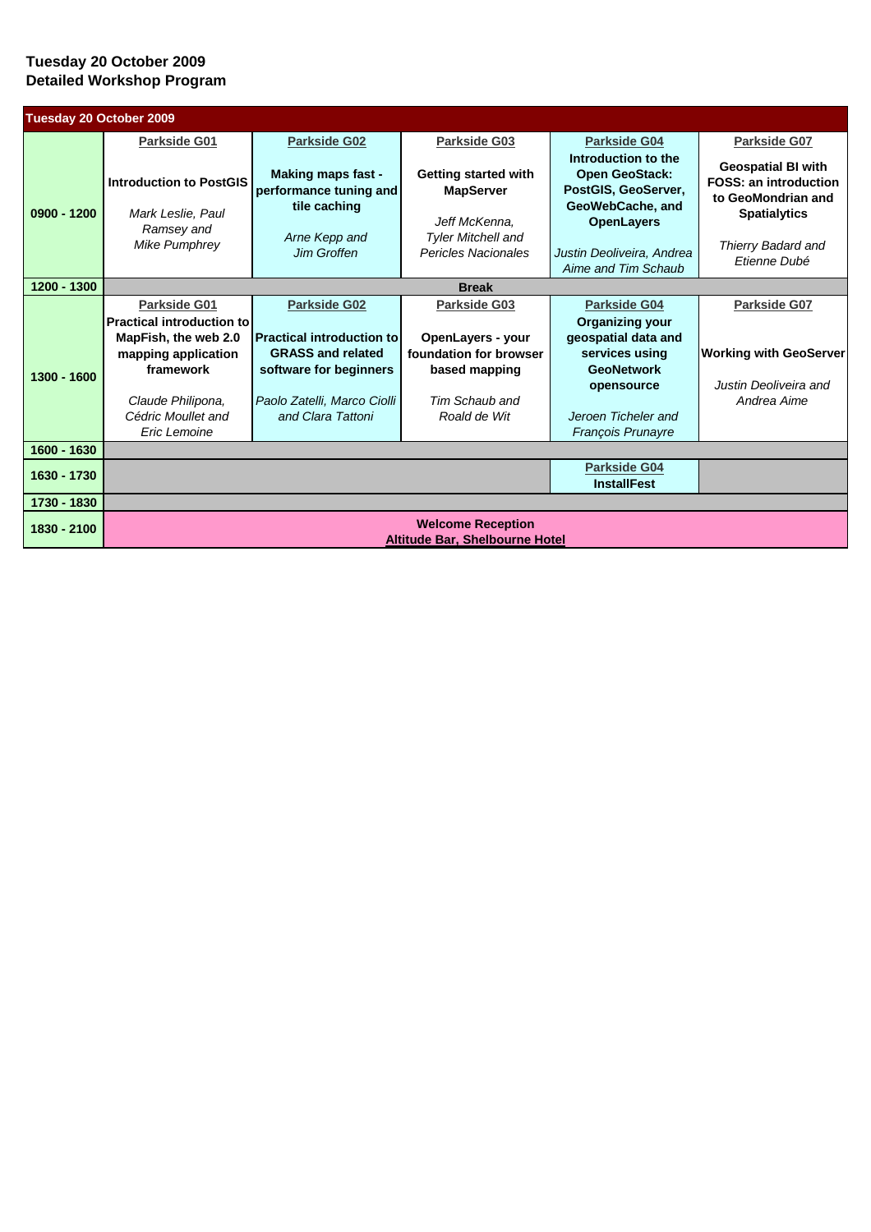### **Tuesday 20 October 2009 Detailed Workshop Program**

|               | Tuesday 20 October 2009                                                                                                                                                 |                                                                                                                                                              |                                                                                                                       |                                                                                                                                                                       |                                                                                                        |  |
|---------------|-------------------------------------------------------------------------------------------------------------------------------------------------------------------------|--------------------------------------------------------------------------------------------------------------------------------------------------------------|-----------------------------------------------------------------------------------------------------------------------|-----------------------------------------------------------------------------------------------------------------------------------------------------------------------|--------------------------------------------------------------------------------------------------------|--|
|               | <b>Parkside G01</b>                                                                                                                                                     | <b>Parkside G02</b>                                                                                                                                          | <b>Parkside G03</b>                                                                                                   | <b>Parkside G04</b>                                                                                                                                                   | <b>Parkside G07</b>                                                                                    |  |
| $0900 - 1200$ | <b>Introduction to PostGIS</b><br>Mark Leslie, Paul                                                                                                                     | <b>Making maps fast -</b><br>performance tuning and<br>tile caching                                                                                          | <b>Getting started with</b><br><b>MapServer</b><br>Jeff McKenna,                                                      | Introduction to the<br><b>Open GeoStack:</b><br>PostGIS, GeoServer,<br>GeoWebCache, and<br><b>OpenLayers</b>                                                          | <b>Geospatial BI with</b><br><b>FOSS: an introduction</b><br>to GeoMondrian and<br><b>Spatialytics</b> |  |
|               | Ramsey and<br>Mike Pumphrey                                                                                                                                             | Arne Kepp and<br><b>Jim Groffen</b>                                                                                                                          | <b>Tyler Mitchell and</b><br><b>Pericles Nacionales</b>                                                               | Justin Deoliveira, Andrea<br>Aime and Tim Schaub                                                                                                                      | Thierry Badard and<br>Etienne Dubé                                                                     |  |
| 1200 - 1300   |                                                                                                                                                                         |                                                                                                                                                              | <b>Break</b>                                                                                                          |                                                                                                                                                                       |                                                                                                        |  |
| 1300 - 1600   | Parkside G01<br><b>Practical introduction to</b><br>MapFish, the web 2.0<br>mapping application<br>framework<br>Claude Philipona,<br>Cédric Moullet and<br>Eric Lemoine | <b>Parkside G02</b><br>lPractical introduction tol<br><b>GRASS and related</b><br>software for beginners<br>Paolo Zatelli, Marco Ciolli<br>and Clara Tattoni | Parkside G03<br><b>OpenLayers - your</b><br>foundation for browser<br>based mapping<br>Tim Schaub and<br>Roald de Wit | <b>Parkside G04</b><br><b>Organizing your</b><br>geospatial data and<br>services using<br><b>GeoNetwork</b><br>opensource<br>Jeroen Ticheler and<br>François Prunayre | Parkside G07<br><b>Working with GeoServer</b><br>Justin Deoliveira and<br>Andrea Aime                  |  |
| 1600 - 1630   |                                                                                                                                                                         |                                                                                                                                                              |                                                                                                                       |                                                                                                                                                                       |                                                                                                        |  |
| 1630 - 1730   | <b>Parkside G04</b><br><b>InstallFest</b>                                                                                                                               |                                                                                                                                                              |                                                                                                                       |                                                                                                                                                                       |                                                                                                        |  |
| 1730 - 1830   |                                                                                                                                                                         |                                                                                                                                                              |                                                                                                                       |                                                                                                                                                                       |                                                                                                        |  |
| 1830 - 2100   | <b>Welcome Reception</b><br><b>Altitude Bar, Shelbourne Hotel</b>                                                                                                       |                                                                                                                                                              |                                                                                                                       |                                                                                                                                                                       |                                                                                                        |  |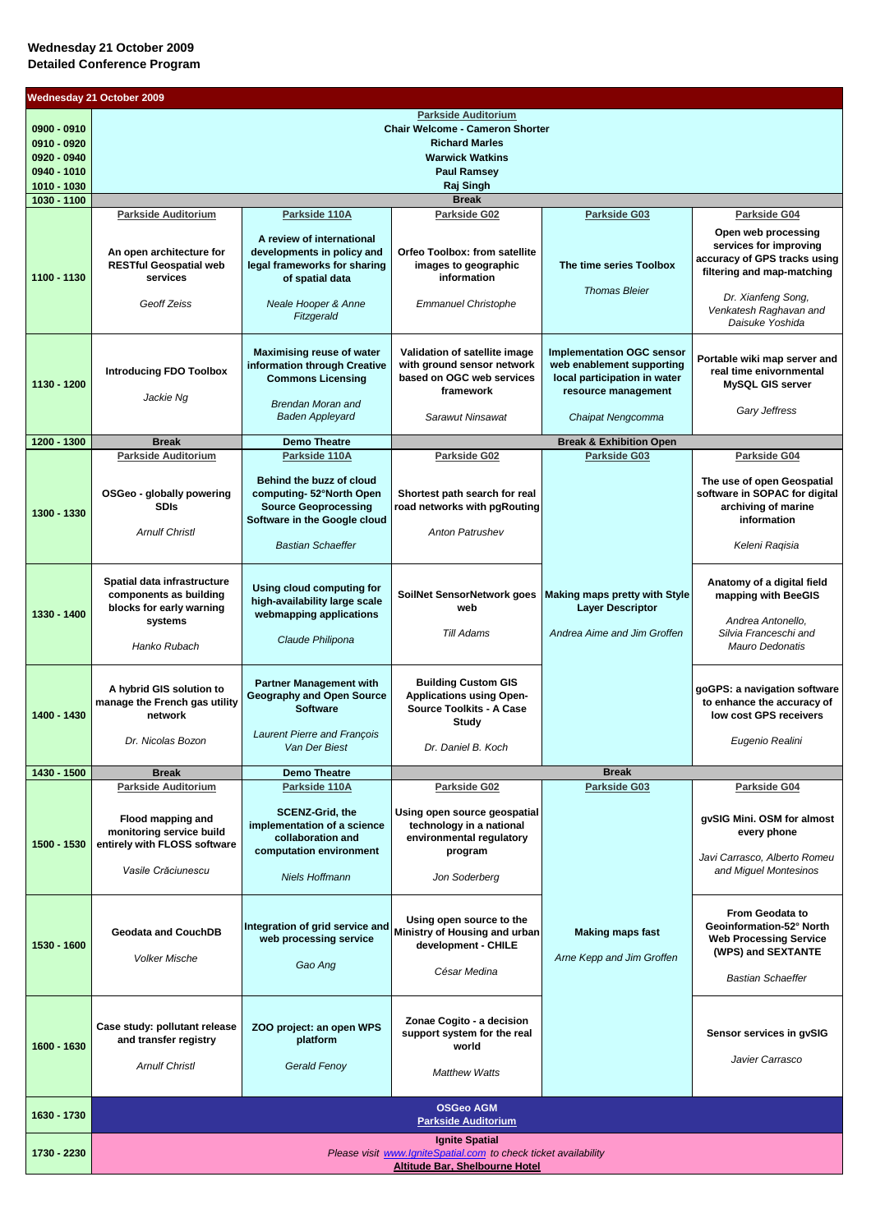## **Wednesday 21 October 2009 Detailed Conference Program**

| <b>Wednesday 21 October 2009</b> |                                                                                                                                   |                                                                                                                          |                                                                                                                  |                                                                                                                      |                                                                                                                                       |
|----------------------------------|-----------------------------------------------------------------------------------------------------------------------------------|--------------------------------------------------------------------------------------------------------------------------|------------------------------------------------------------------------------------------------------------------|----------------------------------------------------------------------------------------------------------------------|---------------------------------------------------------------------------------------------------------------------------------------|
|                                  | <b>Parkside Auditorium</b>                                                                                                        |                                                                                                                          |                                                                                                                  |                                                                                                                      |                                                                                                                                       |
| 0900 - 0910                      |                                                                                                                                   |                                                                                                                          | <b>Chair Welcome - Cameron Shorter</b>                                                                           |                                                                                                                      |                                                                                                                                       |
| 0910 - 0920                      |                                                                                                                                   |                                                                                                                          | <b>Richard Marles</b>                                                                                            |                                                                                                                      |                                                                                                                                       |
| 0920 - 0940                      |                                                                                                                                   |                                                                                                                          | <b>Warwick Watkins</b>                                                                                           |                                                                                                                      |                                                                                                                                       |
| 0940 - 1010                      |                                                                                                                                   |                                                                                                                          | <b>Paul Ramsey</b>                                                                                               |                                                                                                                      |                                                                                                                                       |
| 1010 - 1030                      |                                                                                                                                   |                                                                                                                          | <b>Raj Singh</b>                                                                                                 |                                                                                                                      |                                                                                                                                       |
| 1030 - 1100                      | <b>Parkside Auditorium</b>                                                                                                        |                                                                                                                          | <b>Break</b>                                                                                                     |                                                                                                                      |                                                                                                                                       |
|                                  |                                                                                                                                   | Parkside 110A                                                                                                            | Parkside G02                                                                                                     | <b>Parkside G03</b>                                                                                                  | Parkside G04                                                                                                                          |
| 1100 - 1130                      | An open architecture for<br><b>RESTful Geospatial web</b><br>services                                                             | A review of international<br>developments in policy and<br>legal frameworks for sharing<br>of spatial data               | <b>Orfeo Toolbox: from satellite</b><br>images to geographic<br>information                                      | The time series Toolbox<br><b>Thomas Bleier</b>                                                                      | Open web processing<br>services for improving<br>accuracy of GPS tracks using<br>filtering and map-matching                           |
|                                  | Geoff Zeiss                                                                                                                       | Neale Hooper & Anne<br>Fitzgerald                                                                                        | <b>Emmanuel Christophe</b>                                                                                       |                                                                                                                      | Dr. Xianfeng Song,<br>Venkatesh Raghavan and<br>Daisuke Yoshida                                                                       |
| 1130 - 1200                      | <b>Introducing FDO Toolbox</b><br>Jackie Ng                                                                                       | <b>Maximising reuse of water</b><br>information through Creative<br><b>Commons Licensing</b><br><b>Brendan Moran and</b> | Validation of satellite image<br>with ground sensor network<br>based on OGC web services<br>framework            | <b>Implementation OGC sensor</b><br>web enablement supporting<br>local participation in water<br>resource management | Portable wiki map server and<br>real time enivornmental<br><b>MySQL GIS server</b><br>Gary Jeffress                                   |
|                                  |                                                                                                                                   | <b>Baden Appleyard</b>                                                                                                   | <b>Sarawut Ninsawat</b>                                                                                          | Chaipat Nengcomma                                                                                                    |                                                                                                                                       |
| 1200 - 1300                      | <b>Break</b>                                                                                                                      | <b>Demo Theatre</b>                                                                                                      |                                                                                                                  | <b>Break &amp; Exhibition Open</b>                                                                                   |                                                                                                                                       |
|                                  | <b>Parkside Auditorium</b>                                                                                                        | Parkside 110A                                                                                                            | Parkside G02                                                                                                     | <b>Parkside G03</b>                                                                                                  | Parkside G04                                                                                                                          |
| 1300 - 1330                      | <b>OSGeo - globally powering</b><br><b>SDIS</b><br><b>Arnulf Christl</b>                                                          | Behind the buzz of cloud<br>computing-52°North Open<br><b>Source Geoprocessing</b><br>Software in the Google cloud       | Shortest path search for real<br>road networks with pgRouting<br><b>Anton Patrushev</b>                          |                                                                                                                      | The use of open Geospatial<br>software in SOPAC for digital<br>archiving of marine<br>information                                     |
|                                  |                                                                                                                                   | <b>Bastian Schaeffer</b>                                                                                                 |                                                                                                                  |                                                                                                                      | Keleni Ragisia                                                                                                                        |
| 1330 - 1400                      | Spatial data infrastructure<br>components as building<br>blocks for early warning<br>systems                                      | <b>Using cloud computing for</b><br>high-availability large scale<br>webmapping applications<br>Claude Philipona         | <b>SoilNet SensorNetwork goes</b><br>web<br>Till Adams                                                           | Making maps pretty with Style<br><b>Layer Descriptor</b><br>Andrea Aime and Jim Groffen                              | Anatomy of a digital field<br>mapping with BeeGIS<br>Andrea Antonello,<br>Silvia Franceschi and                                       |
|                                  | Hanko Rubach                                                                                                                      |                                                                                                                          |                                                                                                                  | <b>Mauro Dedonatis</b>                                                                                               |                                                                                                                                       |
| 1400 - 1430                      | A hybrid GIS solution to<br>manage the French gas utility<br>network                                                              | <b>Partner Management with</b><br><b>Geography and Open Source</b><br><b>Software</b>                                    | <b>Building Custom GIS</b><br><b>Applications using Open-</b><br><b>Source Toolkits - A Case</b><br><b>Study</b> |                                                                                                                      | goGPS: a navigation software<br>to enhance the accuracy of<br>low cost GPS receivers                                                  |
|                                  | Dr. Nicolas Bozon                                                                                                                 | <b>Laurent Pierre and François</b><br>Van Der Biest                                                                      | Dr. Daniel B. Koch                                                                                               |                                                                                                                      | Eugenio Realini                                                                                                                       |
| 1430 - 1500                      | <b>Break</b>                                                                                                                      | <b>Demo Theatre</b>                                                                                                      |                                                                                                                  | <b>Break</b>                                                                                                         |                                                                                                                                       |
|                                  | <b>Parkside Auditorium</b>                                                                                                        | Parkside 110A                                                                                                            | Parkside G02                                                                                                     | <b>Parkside G03</b>                                                                                                  | Parkside G04                                                                                                                          |
| 1500 - 1530                      | <b>Flood mapping and</b><br>monitoring service build<br>entirely with FLOSS software                                              | <b>SCENZ-Grid, the</b><br>implementation of a science<br>collaboration and<br>computation environment                    | Using open source geospatial<br>technology in a national<br>environmental regulatory<br>program                  |                                                                                                                      | gvSIG Mini. OSM for almost<br>every phone<br>Javi Carrasco, Alberto Romeu                                                             |
|                                  | Vasile Crăciunescu                                                                                                                | <b>Niels Hoffmann</b>                                                                                                    | Jon Soderberg                                                                                                    |                                                                                                                      | and Miguel Montesinos                                                                                                                 |
| 1530 - 1600                      | <b>Geodata and CouchDB</b><br><b>Volker Mische</b>                                                                                | Integration of grid service and<br>web processing service<br>Gao Ang                                                     | Using open source to the<br>Ministry of Housing and urban<br>development - CHILE<br>César Medina                 | <b>Making maps fast</b><br>Arne Kepp and Jim Groffen                                                                 | <b>From Geodata to</b><br>Geoinformation-52° North<br><b>Web Processing Service</b><br>(WPS) and SEXTANTE<br><b>Bastian Schaeffer</b> |
| 1600 - 1630                      | Case study: pollutant release<br>and transfer registry<br><b>Arnulf Christl</b>                                                   | ZOO project: an open WPS<br>platform<br><b>Gerald Fenoy</b>                                                              | Zonae Cogito - a decision<br>support system for the real<br>world<br><b>Matthew Watts</b>                        |                                                                                                                      | Sensor services in gvSIG<br>Javier Carrasco                                                                                           |
| 1630 - 1730                      | <b>OSGeo AGM</b>                                                                                                                  |                                                                                                                          |                                                                                                                  |                                                                                                                      |                                                                                                                                       |
|                                  |                                                                                                                                   |                                                                                                                          | <b>Parkside Auditorium</b>                                                                                       |                                                                                                                      |                                                                                                                                       |
| 1730 - 2230                      | <b>Ignite Spatial</b><br>Please visit www.lgniteSpatial.com to check ticket availability<br><b>Altitude Bar, Shelbourne Hotel</b> |                                                                                                                          |                                                                                                                  |                                                                                                                      |                                                                                                                                       |
|                                  |                                                                                                                                   |                                                                                                                          |                                                                                                                  |                                                                                                                      |                                                                                                                                       |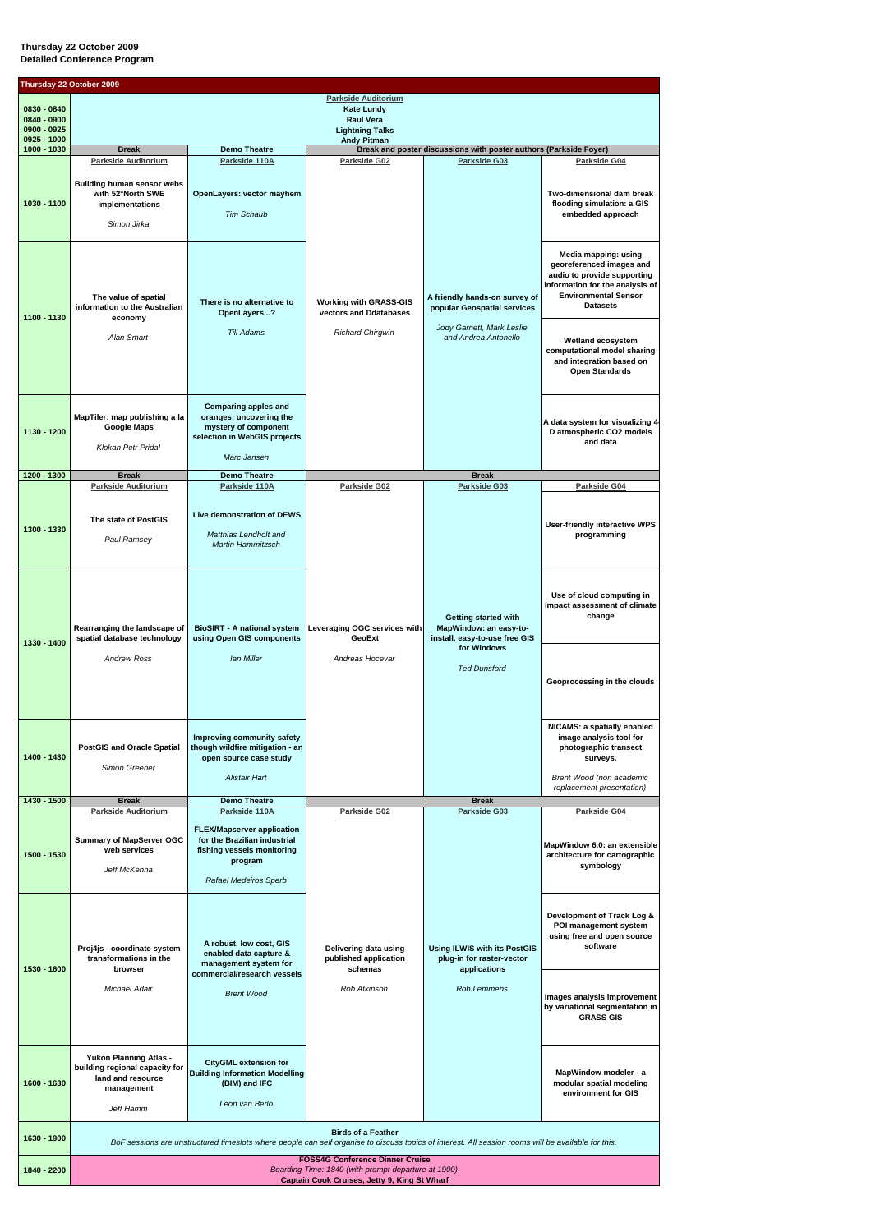#### **Thursday 22 October 2009 Detailed Conference Program**

| <b>Parkside Auditorium</b><br>0830 - 0840<br><b>Kate Lundy</b><br><b>Raul Vera</b><br>0840 - 0900<br>0900 - 0925<br><b>Lightning Talks</b><br>0925 - 1000<br><b>Andy Pitman</b><br>Break and poster discussions with poster authors (Parkside Foyer)<br><b>Break</b><br><b>Demo Theatre</b><br>1000 - 1030<br><b>Parkside Auditorium</b><br>Parkside 110A<br>Parkside G02<br><b>Parkside G03</b><br>Parkside G04<br><b>Building human sensor webs</b><br>with 52°North SWE<br>Two-dimensional dam break<br><b>OpenLayers: vector mayhem</b><br>1030 - 1100<br>flooding simulation: a GIS<br>implementations<br><b>Tim Schaub</b><br>embedded approach<br>Simon Jirka<br>Media mapping: using<br>georeferenced images and<br>audio to provide supporting<br>information for the analysis of<br><b>Environmental Sensor</b><br>The value of spatial<br>A friendly hands-on survey of<br>There is no alternative to<br><b>Working with GRASS-GIS</b><br><b>Datasets</b><br>information to the Australian<br>popular Geospatial services<br>vectors and Ddatabases<br>OpenLayers?<br>1100 - 1130<br>economy<br>Jody Garnett, Mark Leslie<br><b>Till Adams</b><br><b>Richard Chirgwin</b><br>and Andrea Antonello<br><b>Alan Smart</b><br><b>Wetland ecosystem</b><br>computational model sharing<br>and integration based on<br><b>Open Standards</b><br><b>Comparing apples and</b><br>MapTiler: map publishing a la<br>oranges: uncovering the<br><b>Google Maps</b><br>mystery of component<br>1130 - 1200<br>D atmospheric CO2 models<br>selection in WebGIS projects<br>and data<br><b>Klokan Petr Pridal</b><br>Marc Jansen<br>1200 - 1300<br><b>Demo Theatre</b><br><b>Break</b><br><b>Break</b><br>Parkside Auditorium<br>Parkside 110A<br>Parkside G02<br>Parkside G04<br><b>Parkside G03</b><br><b>Live demonstration of DEWS</b><br>The state of PostGIS<br><b>User-friendly interactive WPS</b><br>1300 - 1330<br>Matthias Lendholt and<br>programming<br>Paul Ramsey<br><b>Martin Hammitzsch</b><br>Use of cloud computing in<br>impact assessment of climate<br>change<br><b>Getting started with</b><br>Rearranging the landscape of<br><b>BioSIRT - A national system</b><br>Leveraging OGC services with<br>MapWindow: an easy-to-<br>install, easy-to-use free GIS<br>spatial database technology<br>using Open GIS components<br><b>GeoExt</b><br>1330 - 1400<br>for Windows<br><b>Andrew Ross</b><br>lan Miller<br>Andreas Hocevar<br><b>Ted Dunsford</b><br>Geoprocessing in the clouds<br>NICAMS: a spatially enabled<br>Improving community safety<br>image analysis tool for<br>though wildfire mitigation - an<br><b>PostGIS and Oracle Spatial</b><br>photographic transect<br>1400 - 1430<br>open source case study<br>surveys.<br>Simon Greener<br><b>Alistair Hart</b><br>Brent Wood (non academic<br>replacement presentation)<br>1430 - 1500<br><b>Demo Theatre</b><br><b>Break</b><br><b>Break</b><br>Parkside G03<br><b>Parkside Auditorium</b><br>Parkside 110A<br>Parkside G02<br>Parkside G04<br><b>FLEX/Mapserver application</b><br>for the Brazilian industrial<br><b>Summary of MapServer OGC</b><br>web services<br>fishing vessels monitoring<br>1500 - 1530<br>architecture for cartographic<br>program<br>symbology<br>Jeff McKenna<br>Rafael Medeiros Sperb<br>Development of Track Log &<br>POI management system<br>using free and open source<br>A robust, low cost, GIS<br>software<br>Proj4js - coordinate system<br>Delivering data using<br><b>Using ILWIS with its PostGIS</b><br>enabled data capture &<br>transformations in the<br>published application<br>plug-in for raster-vector<br>management system for<br>1530 - 1600<br>schemas<br>applications<br>browser<br>commercial/research vessels<br>Michael Adair<br>Rob Atkinson<br><b>Rob Lemmens</b><br><b>Brent Wood</b><br><b>GRASS GIS</b><br><b>Yukon Planning Atlas -</b><br><b>CityGML extension for</b><br>building regional capacity for<br><b>Building Information Modelling</b><br>MapWindow modeler - a<br>land and resource<br>1600 - 1630<br>modular spatial modeling<br>(BIM) and IFC<br>management<br>environment for GIS<br>Léon van Berlo<br>Jeff Hamm<br><b>Birds of a Feather</b><br>1630 - 1900<br>BoF sessions are unstructured timeslots where people can self organise to discuss topics of interest. All session rooms will be available for this.<br><b>FOSS4G Conference Dinner Cruise</b><br>1840 - 2200<br>Boarding Time: 1840 (with prompt departure at 1900)<br><b>Captain Cook Cruises, Jetty 9, King St Wharf</b> | Thursday 22 October 2009 |  |  |  |  |                                                               |
|------------------------------------------------------------------------------------------------------------------------------------------------------------------------------------------------------------------------------------------------------------------------------------------------------------------------------------------------------------------------------------------------------------------------------------------------------------------------------------------------------------------------------------------------------------------------------------------------------------------------------------------------------------------------------------------------------------------------------------------------------------------------------------------------------------------------------------------------------------------------------------------------------------------------------------------------------------------------------------------------------------------------------------------------------------------------------------------------------------------------------------------------------------------------------------------------------------------------------------------------------------------------------------------------------------------------------------------------------------------------------------------------------------------------------------------------------------------------------------------------------------------------------------------------------------------------------------------------------------------------------------------------------------------------------------------------------------------------------------------------------------------------------------------------------------------------------------------------------------------------------------------------------------------------------------------------------------------------------------------------------------------------------------------------------------------------------------------------------------------------------------------------------------------------------------------------------------------------------------------------------------------------------------------------------------------------------------------------------------------------------------------------------------------------------------------------------------------------------------------------------------------------------------------------------------------------------------------------------------------------------------------------------------------------------------------------------------------------------------------------------------------------------------------------------------------------------------------------------------------------------------------------------------------------------------------------------------------------------------------------------------------------------------------------------------------------------------------------------------------------------------------------------------------------------------------------------------------------------------------------------------------------------------------------------------------------------------------------------------------------------------------------------------------------------------------------------------------------------------------------------------------------------------------------------------------------------------------------------------------------------------------------------------------------------------------------------------------------------------------------------------------------------------------------------------------------------------------------------------------------------------------------------------------------------------------------------------------------------------------------------------------------------------------------------------------------------------------------------------------------------------------------------------------------------------------------------------------------------------------------------------------------------------------------------------------------------------------------------------------------------------------------------------------------------------------------------------------------------------------------------------------------------------------------------------|--------------------------|--|--|--|--|---------------------------------------------------------------|
|                                                                                                                                                                                                                                                                                                                                                                                                                                                                                                                                                                                                                                                                                                                                                                                                                                                                                                                                                                                                                                                                                                                                                                                                                                                                                                                                                                                                                                                                                                                                                                                                                                                                                                                                                                                                                                                                                                                                                                                                                                                                                                                                                                                                                                                                                                                                                                                                                                                                                                                                                                                                                                                                                                                                                                                                                                                                                                                                                                                                                                                                                                                                                                                                                                                                                                                                                                                                                                                                                                                                                                                                                                                                                                                                                                                                                                                                                                                                                                                                                                                                                                                                                                                                                                                                                                                                                                                                                                                                                                                                                            |                          |  |  |  |  |                                                               |
|                                                                                                                                                                                                                                                                                                                                                                                                                                                                                                                                                                                                                                                                                                                                                                                                                                                                                                                                                                                                                                                                                                                                                                                                                                                                                                                                                                                                                                                                                                                                                                                                                                                                                                                                                                                                                                                                                                                                                                                                                                                                                                                                                                                                                                                                                                                                                                                                                                                                                                                                                                                                                                                                                                                                                                                                                                                                                                                                                                                                                                                                                                                                                                                                                                                                                                                                                                                                                                                                                                                                                                                                                                                                                                                                                                                                                                                                                                                                                                                                                                                                                                                                                                                                                                                                                                                                                                                                                                                                                                                                                            |                          |  |  |  |  |                                                               |
|                                                                                                                                                                                                                                                                                                                                                                                                                                                                                                                                                                                                                                                                                                                                                                                                                                                                                                                                                                                                                                                                                                                                                                                                                                                                                                                                                                                                                                                                                                                                                                                                                                                                                                                                                                                                                                                                                                                                                                                                                                                                                                                                                                                                                                                                                                                                                                                                                                                                                                                                                                                                                                                                                                                                                                                                                                                                                                                                                                                                                                                                                                                                                                                                                                                                                                                                                                                                                                                                                                                                                                                                                                                                                                                                                                                                                                                                                                                                                                                                                                                                                                                                                                                                                                                                                                                                                                                                                                                                                                                                                            |                          |  |  |  |  |                                                               |
|                                                                                                                                                                                                                                                                                                                                                                                                                                                                                                                                                                                                                                                                                                                                                                                                                                                                                                                                                                                                                                                                                                                                                                                                                                                                                                                                                                                                                                                                                                                                                                                                                                                                                                                                                                                                                                                                                                                                                                                                                                                                                                                                                                                                                                                                                                                                                                                                                                                                                                                                                                                                                                                                                                                                                                                                                                                                                                                                                                                                                                                                                                                                                                                                                                                                                                                                                                                                                                                                                                                                                                                                                                                                                                                                                                                                                                                                                                                                                                                                                                                                                                                                                                                                                                                                                                                                                                                                                                                                                                                                                            |                          |  |  |  |  |                                                               |
|                                                                                                                                                                                                                                                                                                                                                                                                                                                                                                                                                                                                                                                                                                                                                                                                                                                                                                                                                                                                                                                                                                                                                                                                                                                                                                                                                                                                                                                                                                                                                                                                                                                                                                                                                                                                                                                                                                                                                                                                                                                                                                                                                                                                                                                                                                                                                                                                                                                                                                                                                                                                                                                                                                                                                                                                                                                                                                                                                                                                                                                                                                                                                                                                                                                                                                                                                                                                                                                                                                                                                                                                                                                                                                                                                                                                                                                                                                                                                                                                                                                                                                                                                                                                                                                                                                                                                                                                                                                                                                                                                            |                          |  |  |  |  | A data system for visualizing 4-                              |
|                                                                                                                                                                                                                                                                                                                                                                                                                                                                                                                                                                                                                                                                                                                                                                                                                                                                                                                                                                                                                                                                                                                                                                                                                                                                                                                                                                                                                                                                                                                                                                                                                                                                                                                                                                                                                                                                                                                                                                                                                                                                                                                                                                                                                                                                                                                                                                                                                                                                                                                                                                                                                                                                                                                                                                                                                                                                                                                                                                                                                                                                                                                                                                                                                                                                                                                                                                                                                                                                                                                                                                                                                                                                                                                                                                                                                                                                                                                                                                                                                                                                                                                                                                                                                                                                                                                                                                                                                                                                                                                                                            |                          |  |  |  |  |                                                               |
|                                                                                                                                                                                                                                                                                                                                                                                                                                                                                                                                                                                                                                                                                                                                                                                                                                                                                                                                                                                                                                                                                                                                                                                                                                                                                                                                                                                                                                                                                                                                                                                                                                                                                                                                                                                                                                                                                                                                                                                                                                                                                                                                                                                                                                                                                                                                                                                                                                                                                                                                                                                                                                                                                                                                                                                                                                                                                                                                                                                                                                                                                                                                                                                                                                                                                                                                                                                                                                                                                                                                                                                                                                                                                                                                                                                                                                                                                                                                                                                                                                                                                                                                                                                                                                                                                                                                                                                                                                                                                                                                                            |                          |  |  |  |  |                                                               |
|                                                                                                                                                                                                                                                                                                                                                                                                                                                                                                                                                                                                                                                                                                                                                                                                                                                                                                                                                                                                                                                                                                                                                                                                                                                                                                                                                                                                                                                                                                                                                                                                                                                                                                                                                                                                                                                                                                                                                                                                                                                                                                                                                                                                                                                                                                                                                                                                                                                                                                                                                                                                                                                                                                                                                                                                                                                                                                                                                                                                                                                                                                                                                                                                                                                                                                                                                                                                                                                                                                                                                                                                                                                                                                                                                                                                                                                                                                                                                                                                                                                                                                                                                                                                                                                                                                                                                                                                                                                                                                                                                            |                          |  |  |  |  |                                                               |
|                                                                                                                                                                                                                                                                                                                                                                                                                                                                                                                                                                                                                                                                                                                                                                                                                                                                                                                                                                                                                                                                                                                                                                                                                                                                                                                                                                                                                                                                                                                                                                                                                                                                                                                                                                                                                                                                                                                                                                                                                                                                                                                                                                                                                                                                                                                                                                                                                                                                                                                                                                                                                                                                                                                                                                                                                                                                                                                                                                                                                                                                                                                                                                                                                                                                                                                                                                                                                                                                                                                                                                                                                                                                                                                                                                                                                                                                                                                                                                                                                                                                                                                                                                                                                                                                                                                                                                                                                                                                                                                                                            |                          |  |  |  |  |                                                               |
|                                                                                                                                                                                                                                                                                                                                                                                                                                                                                                                                                                                                                                                                                                                                                                                                                                                                                                                                                                                                                                                                                                                                                                                                                                                                                                                                                                                                                                                                                                                                                                                                                                                                                                                                                                                                                                                                                                                                                                                                                                                                                                                                                                                                                                                                                                                                                                                                                                                                                                                                                                                                                                                                                                                                                                                                                                                                                                                                                                                                                                                                                                                                                                                                                                                                                                                                                                                                                                                                                                                                                                                                                                                                                                                                                                                                                                                                                                                                                                                                                                                                                                                                                                                                                                                                                                                                                                                                                                                                                                                                                            |                          |  |  |  |  |                                                               |
|                                                                                                                                                                                                                                                                                                                                                                                                                                                                                                                                                                                                                                                                                                                                                                                                                                                                                                                                                                                                                                                                                                                                                                                                                                                                                                                                                                                                                                                                                                                                                                                                                                                                                                                                                                                                                                                                                                                                                                                                                                                                                                                                                                                                                                                                                                                                                                                                                                                                                                                                                                                                                                                                                                                                                                                                                                                                                                                                                                                                                                                                                                                                                                                                                                                                                                                                                                                                                                                                                                                                                                                                                                                                                                                                                                                                                                                                                                                                                                                                                                                                                                                                                                                                                                                                                                                                                                                                                                                                                                                                                            |                          |  |  |  |  | MapWindow 6.0: an extensible                                  |
|                                                                                                                                                                                                                                                                                                                                                                                                                                                                                                                                                                                                                                                                                                                                                                                                                                                                                                                                                                                                                                                                                                                                                                                                                                                                                                                                                                                                                                                                                                                                                                                                                                                                                                                                                                                                                                                                                                                                                                                                                                                                                                                                                                                                                                                                                                                                                                                                                                                                                                                                                                                                                                                                                                                                                                                                                                                                                                                                                                                                                                                                                                                                                                                                                                                                                                                                                                                                                                                                                                                                                                                                                                                                                                                                                                                                                                                                                                                                                                                                                                                                                                                                                                                                                                                                                                                                                                                                                                                                                                                                                            |                          |  |  |  |  |                                                               |
|                                                                                                                                                                                                                                                                                                                                                                                                                                                                                                                                                                                                                                                                                                                                                                                                                                                                                                                                                                                                                                                                                                                                                                                                                                                                                                                                                                                                                                                                                                                                                                                                                                                                                                                                                                                                                                                                                                                                                                                                                                                                                                                                                                                                                                                                                                                                                                                                                                                                                                                                                                                                                                                                                                                                                                                                                                                                                                                                                                                                                                                                                                                                                                                                                                                                                                                                                                                                                                                                                                                                                                                                                                                                                                                                                                                                                                                                                                                                                                                                                                                                                                                                                                                                                                                                                                                                                                                                                                                                                                                                                            |                          |  |  |  |  | Images analysis improvement<br>by variational segmentation in |
|                                                                                                                                                                                                                                                                                                                                                                                                                                                                                                                                                                                                                                                                                                                                                                                                                                                                                                                                                                                                                                                                                                                                                                                                                                                                                                                                                                                                                                                                                                                                                                                                                                                                                                                                                                                                                                                                                                                                                                                                                                                                                                                                                                                                                                                                                                                                                                                                                                                                                                                                                                                                                                                                                                                                                                                                                                                                                                                                                                                                                                                                                                                                                                                                                                                                                                                                                                                                                                                                                                                                                                                                                                                                                                                                                                                                                                                                                                                                                                                                                                                                                                                                                                                                                                                                                                                                                                                                                                                                                                                                                            |                          |  |  |  |  |                                                               |
|                                                                                                                                                                                                                                                                                                                                                                                                                                                                                                                                                                                                                                                                                                                                                                                                                                                                                                                                                                                                                                                                                                                                                                                                                                                                                                                                                                                                                                                                                                                                                                                                                                                                                                                                                                                                                                                                                                                                                                                                                                                                                                                                                                                                                                                                                                                                                                                                                                                                                                                                                                                                                                                                                                                                                                                                                                                                                                                                                                                                                                                                                                                                                                                                                                                                                                                                                                                                                                                                                                                                                                                                                                                                                                                                                                                                                                                                                                                                                                                                                                                                                                                                                                                                                                                                                                                                                                                                                                                                                                                                                            |                          |  |  |  |  |                                                               |
|                                                                                                                                                                                                                                                                                                                                                                                                                                                                                                                                                                                                                                                                                                                                                                                                                                                                                                                                                                                                                                                                                                                                                                                                                                                                                                                                                                                                                                                                                                                                                                                                                                                                                                                                                                                                                                                                                                                                                                                                                                                                                                                                                                                                                                                                                                                                                                                                                                                                                                                                                                                                                                                                                                                                                                                                                                                                                                                                                                                                                                                                                                                                                                                                                                                                                                                                                                                                                                                                                                                                                                                                                                                                                                                                                                                                                                                                                                                                                                                                                                                                                                                                                                                                                                                                                                                                                                                                                                                                                                                                                            |                          |  |  |  |  |                                                               |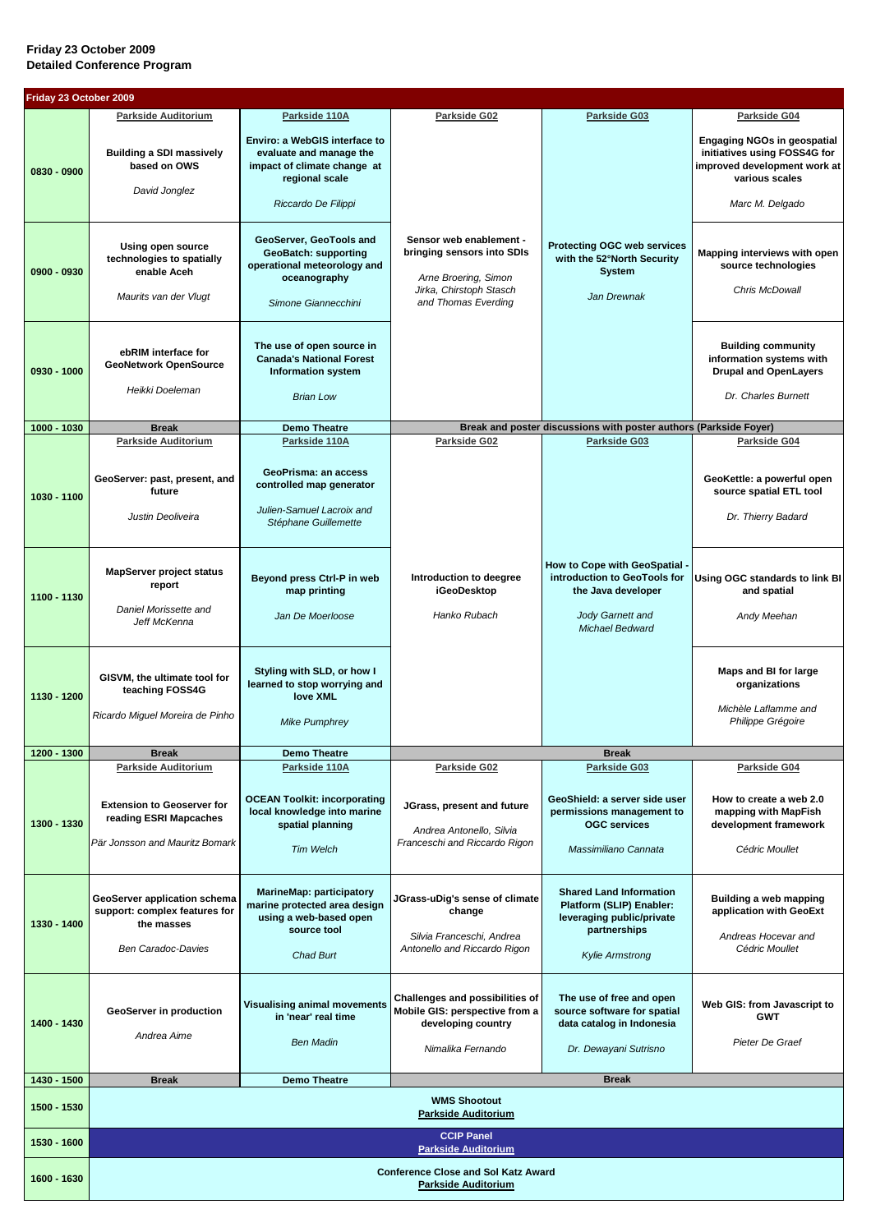# **Friday 23 October 2009 Detailed Conference Program**

| 1330 - 1400 | <b>GeoServer application schema</b><br>support: complex features for<br>the masses<br><b>Ben Caradoc-Davies</b> | <b>MarineMap: participatory</b><br>marine protected area design<br>using a web-based open<br>source tool<br><b>Chad Burt</b> | JGrass-uDig's sense of climate<br>change<br>Silvia Franceschi, Andrea<br>Antonello and Riccardo Rigon        | <b>Shared Land Information</b><br>Platform (SLIP) Enabler:<br>leveraging public/private<br>partnerships<br><b>Kylie Armstrong</b> | <b>Building a web mapping</b><br>application with GeoExt<br>Andreas Hocevar and<br>Cédric Moullet |
|-------------|-----------------------------------------------------------------------------------------------------------------|------------------------------------------------------------------------------------------------------------------------------|--------------------------------------------------------------------------------------------------------------|-----------------------------------------------------------------------------------------------------------------------------------|---------------------------------------------------------------------------------------------------|
| 1400 - 1430 | <b>GeoServer in production</b><br>Andrea Aime                                                                   | <b>Visualising animal movements</b><br>in 'near' real time<br><b>Ben Madin</b>                                               | Challenges and possibilities of<br>Mobile GIS: perspective from a<br>developing country<br>Nimalika Fernando | The use of free and open<br>source software for spatial<br>data catalog in Indonesia<br>Dr. Dewayani Sutrisno                     | Web GIS: from Javascript to<br><b>GWT</b><br>Pieter De Graef                                      |
| 1430 - 1500 | <b>Break</b><br><b>Demo Theatre</b><br><b>Break</b>                                                             |                                                                                                                              |                                                                                                              |                                                                                                                                   |                                                                                                   |
| 1500 - 1530 | <b>WMS Shootout</b><br><b>Parkside Auditorium</b>                                                               |                                                                                                                              |                                                                                                              |                                                                                                                                   |                                                                                                   |
| 1530 - 1600 | <b>CCIP Panel</b><br><b>Parkside Auditorium</b>                                                                 |                                                                                                                              |                                                                                                              |                                                                                                                                   |                                                                                                   |
| 1600 - 1630 | <b>Conference Close and Sol Katz Award</b><br><b>Parkside Auditorium</b>                                        |                                                                                                                              |                                                                                                              |                                                                                                                                   |                                                                                                   |

| Friday 23 October 2009 |                                                                                               |                                                                                                                                         |                                                                                                                                 |                                                                                                                                   |                                                                                                                                         |
|------------------------|-----------------------------------------------------------------------------------------------|-----------------------------------------------------------------------------------------------------------------------------------------|---------------------------------------------------------------------------------------------------------------------------------|-----------------------------------------------------------------------------------------------------------------------------------|-----------------------------------------------------------------------------------------------------------------------------------------|
|                        | <b>Parkside Auditorium</b>                                                                    | Parkside 110A                                                                                                                           | Parkside G02                                                                                                                    | <b>Parkside G03</b>                                                                                                               | Parkside G04                                                                                                                            |
| 0830 - 0900            | <b>Building a SDI massively</b><br>based on OWS<br>David Jonglez                              | <b>Enviro: a WebGIS interface to</b><br>evaluate and manage the<br>impact of climate change at<br>regional scale<br>Riccardo De Filippi |                                                                                                                                 |                                                                                                                                   | <b>Engaging NGOs in geospatial</b><br>initiatives using FOSS4G for<br>improved development work at<br>various scales<br>Marc M. Delgado |
| 0900 - 0930            | <b>Using open source</b><br>technologies to spatially<br>enable Aceh<br>Maurits van der Vlugt | <b>GeoServer, GeoTools and</b><br><b>GeoBatch: supporting</b><br>operational meteorology and<br>oceanography<br>Simone Giannecchini     | Sensor web enablement -<br>bringing sensors into SDIs<br>Arne Broering, Simon<br>Jirka, Chirstoph Stasch<br>and Thomas Everding | <b>Protecting OGC web services</b><br>with the 52°North Security<br><b>System</b><br>Jan Drewnak                                  | Mapping interviews with open<br>source technologies<br>Chris McDowall                                                                   |
| $0930 - 1000$          | ebRIM interface for<br><b>GeoNetwork OpenSource</b><br>Heikki Doeleman                        | The use of open source in<br><b>Canada's National Forest</b><br><b>Information system</b><br><b>Brian Low</b>                           |                                                                                                                                 |                                                                                                                                   | <b>Building community</b><br>information systems with<br><b>Drupal and OpenLayers</b><br>Dr. Charles Burnett                            |
| 1000 - 1030            | <b>Break</b>                                                                                  | <b>Demo Theatre</b>                                                                                                                     |                                                                                                                                 | Break and poster discussions with poster authors (Parkside Foyer)                                                                 |                                                                                                                                         |
|                        | <b>Parkside Auditorium</b>                                                                    | Parkside 110A                                                                                                                           | <b>Parkside G02</b>                                                                                                             | <b>Parkside G03</b>                                                                                                               | <b>Parkside G04</b>                                                                                                                     |
| 1030 - 1100            | GeoServer: past, present, and<br>future<br>Justin Deoliveira                                  | <b>GeoPrisma: an access</b><br>controlled map generator<br>Julien-Samuel Lacroix and<br>Stéphane Guillemette                            |                                                                                                                                 |                                                                                                                                   | GeoKettle: a powerful open<br>source spatial ETL tool<br>Dr. Thierry Badard                                                             |
| 1100 - 1130            | <b>MapServer project status</b><br>report<br>Daniel Morissette and<br>Jeff McKenna            | Beyond press Ctrl-P in web<br>map printing<br>Jan De Moerloose                                                                          | Introduction to deegree<br><b>iGeoDesktop</b><br>Hanko Rubach                                                                   | How to Cope with GeoSpatial -<br>introduction to GeoTools for<br>the Java developer<br>Jody Garnett and<br><b>Michael Bedward</b> | <b>Using OGC standards to link BI</b><br>and spatial<br>Andy Meehan                                                                     |
| 1130 - 1200            | GISVM, the ultimate tool for<br>teaching FOSS4G<br>Ricardo Miguel Moreira de Pinho            | Styling with SLD, or how I<br>learned to stop worrying and<br>love XML<br><b>Mike Pumphrey</b>                                          |                                                                                                                                 |                                                                                                                                   | <b>Maps and BI for large</b><br>organizations<br>Michèle Laflamme and<br>Philippe Grégoire                                              |
| 1200 - 1300            | <b>Break</b>                                                                                  | <b>Demo Theatre</b>                                                                                                                     |                                                                                                                                 | <b>Break</b>                                                                                                                      |                                                                                                                                         |
|                        | <b>Parkside Auditorium</b>                                                                    | Parkside 110A                                                                                                                           | Parkside G02                                                                                                                    | <b>Parkside G03</b>                                                                                                               | Parkside G04                                                                                                                            |
| 1300 - 1330            | <b>Extension to Geoserver for</b><br>reading ESRI Mapcaches<br>Pär Jonsson and Mauritz Bomark | <b>OCEAN Toolkit: incorporating</b><br>local knowledge into marine<br>spatial planning<br><b>Tim Welch</b>                              | JGrass, present and future<br>Andrea Antonello, Silvia<br>Franceschi and Riccardo Rigon                                         | GeoShield: a server side user<br>permissions management to<br><b>OGC services</b><br>Massimiliano Cannata                         | How to create a web 2.0<br>mapping with MapFish<br>development framework<br>Cédric Moullet                                              |